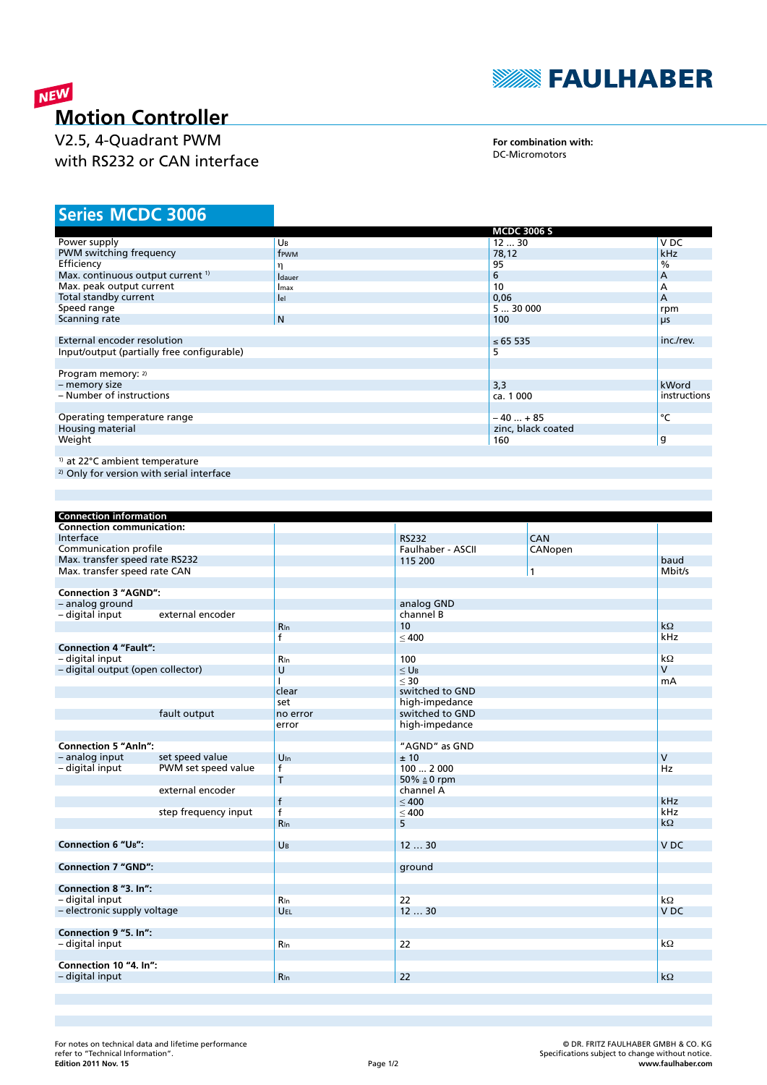

# NEW **Motion Controller**

V2.5, 4-Quadrant PWM with RS232 or CAN interface

**For combination with:** DC-Micromotors

# **MCDC 3006 Series**

|                                                      |                | <b>MCDC 3006 S</b> |              |
|------------------------------------------------------|----------------|--------------------|--------------|
| Power supply                                         | UB             | 1230               | V DC         |
| PWM switching frequency                              | frwm           | 78,12              | <b>kHz</b>   |
| Efficiency                                           | η              | 95                 | %            |
| Max. continuous output current <sup>1)</sup>         | <b>I</b> dauer | 6                  | A            |
| Max. peak output current                             | <b>I</b> max   | 10                 | A            |
| Total standby current                                | lel            | 0,06               | A            |
| Speed range                                          |                | 530000             | rpm          |
| Scanning rate                                        | N              | 100                | μs           |
|                                                      |                |                    |              |
| External encoder resolution                          |                | ≤ 65 535           | inc./rev.    |
| Input/output (partially free configurable)           |                | 5                  |              |
|                                                      |                |                    |              |
| Program memory: 2)                                   |                |                    |              |
| - memory size                                        |                | 3,3                | kWord        |
| - Number of instructions                             |                | ca. 1 000          | instructions |
|                                                      |                |                    |              |
| Operating temperature range                          |                | $-40+85$           | °C           |
| Housing material                                     |                | zinc, black coated |              |
| Weight                                               |                | 160                | g            |
|                                                      |                |                    |              |
| <sup>1)</sup> at 22°C ambient temperature            |                |                    |              |
| <sup>2)</sup> Only for version with serial interface |                |                    |              |

| <b>Connection information</b>     |                      |                 |                   |              |                 |
|-----------------------------------|----------------------|-----------------|-------------------|--------------|-----------------|
| <b>Connection communication:</b>  |                      |                 |                   |              |                 |
| Interface                         |                      |                 | <b>RS232</b>      | CAN          |                 |
| Communication profile             |                      |                 | Faulhaber - ASCII | CANopen      |                 |
| Max. transfer speed rate RS232    |                      |                 | 115 200           |              | baud            |
| Max. transfer speed rate CAN      |                      |                 |                   | $\mathbf{1}$ | Mbit/s          |
|                                   |                      |                 |                   |              |                 |
| <b>Connection 3 "AGND":</b>       |                      |                 |                   |              |                 |
| - analog ground                   |                      |                 | analog GND        |              |                 |
| - digital input                   | external encoder     |                 | channel B         |              |                 |
|                                   |                      | Rin             | 10                |              | $k\Omega$       |
|                                   |                      | $\mathsf{f}$    | < 400             |              | kHz             |
| <b>Connection 4 "Fault":</b>      |                      |                 |                   |              |                 |
| - digital input                   |                      | <b>R</b> In     | 100               |              | $k\Omega$       |
| - digital output (open collector) |                      | $\cup$          | $\leq$ UB         |              | $\vee$          |
|                                   |                      | $\mathbf{I}$    | $<$ 30            |              | mA              |
|                                   |                      | clear           | switched to GND   |              |                 |
|                                   |                      | set             | high-impedance    |              |                 |
|                                   | fault output         | no error        | switched to GND   |              |                 |
|                                   |                      | error           | high-impedance    |              |                 |
|                                   |                      |                 |                   |              |                 |
| <b>Connection 5 "Anln":</b>       |                      |                 | "AGND" as GND     |              |                 |
| - analog input                    | set speed value      | $U_{\text{In}}$ | ±10               |              | $\mathsf{V}$    |
| - digital input                   | PWM set speed value  | f               | 100  2 000        |              | Hz              |
|                                   |                      | T               | 50% ≙ 0 rpm       |              |                 |
|                                   | external encoder     |                 | channel A         |              |                 |
|                                   |                      | $\mathsf{f}$    | < 400             |              | kHz             |
|                                   | step frequency input | $\mathsf{f}$    | $\leq 400$        |              | kHz             |
|                                   |                      | <b>R</b> In     | 5                 |              | $k\Omega$       |
|                                   |                      |                 |                   |              |                 |
| <b>Connection 6 "UB":</b>         |                      | $U_B$           | 1230              |              | V <sub>DC</sub> |
|                                   |                      |                 |                   |              |                 |
| <b>Connection 7 "GND":</b>        |                      |                 | ground            |              |                 |
|                                   |                      |                 |                   |              |                 |
| Connection 8 "3. In":             |                      |                 |                   |              |                 |
| - digital input                   |                      | <b>R</b> In     | 22                |              | $k\Omega$       |
| - electronic supply voltage       |                      | UEL             | 1230              |              | V <sub>DC</sub> |
|                                   |                      |                 |                   |              |                 |
| Connection 9 "5. In":             |                      |                 |                   |              |                 |
| - digital input                   |                      | <b>R</b> In     | 22                |              | $k\Omega$       |
|                                   |                      |                 |                   |              |                 |
| Connection 10 "4. In":            |                      |                 |                   |              |                 |
| - digital input                   |                      | <b>R</b> In     | 22                |              | $k\Omega$       |
|                                   |                      |                 |                   |              |                 |